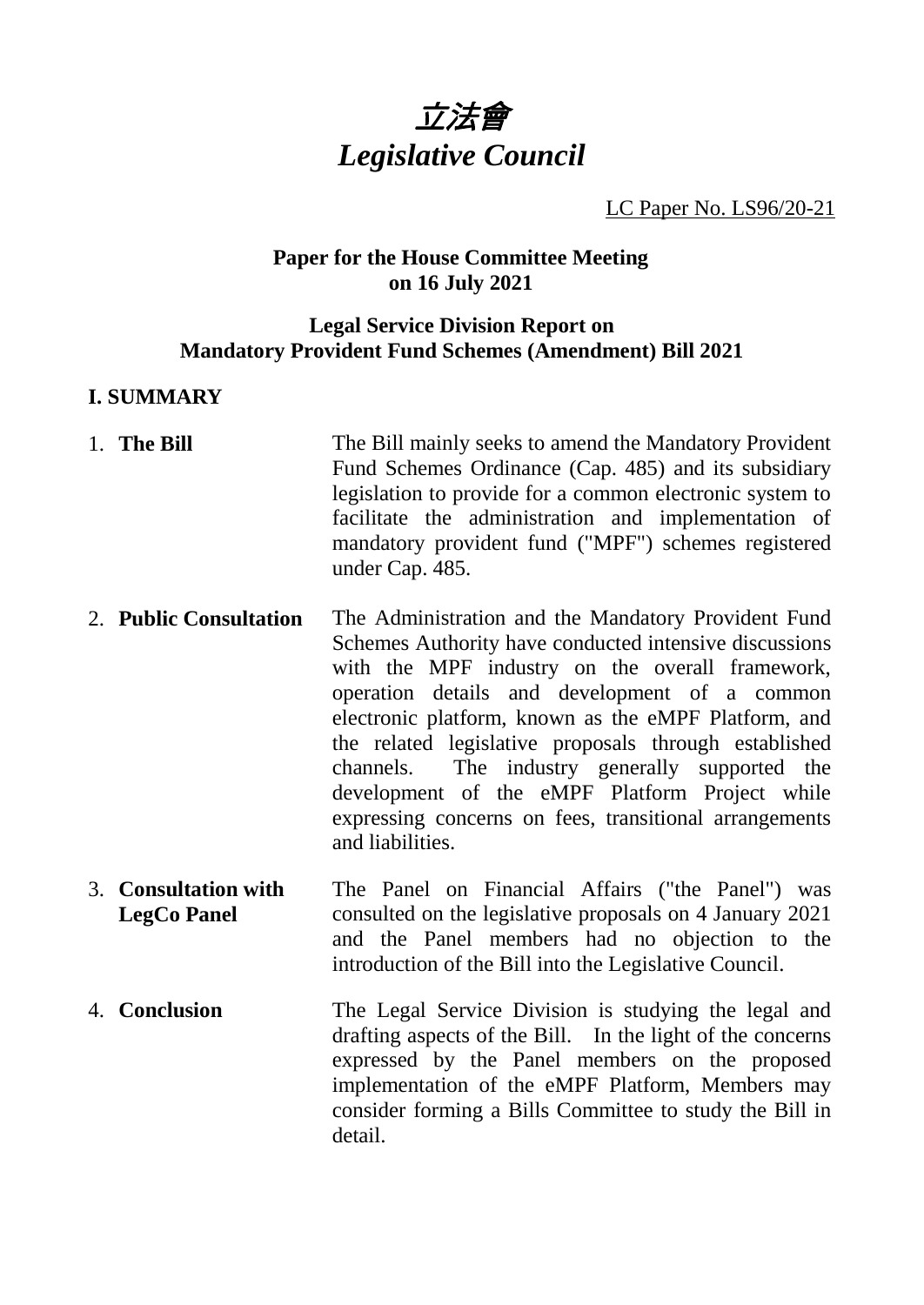

LC Paper No. LS96/20-21

## **Paper for the House Committee Meeting on 16 July 2021**

### **Legal Service Division Report on Mandatory Provident Fund Schemes (Amendment) Bill 2021**

### **I. SUMMARY**

- 1. **The Bill** The Bill mainly seeks to amend the Mandatory Provident Fund Schemes Ordinance (Cap. 485) and its subsidiary legislation to provide for a common electronic system to facilitate the administration and implementation of mandatory provident fund ("MPF") schemes registered under Cap. 485.
- 2. **Public Consultation** The Administration and the Mandatory Provident Fund Schemes Authority have conducted intensive discussions with the MPF industry on the overall framework, operation details and development of a common electronic platform, known as the eMPF Platform, and the related legislative proposals through established channels. The industry generally supported the development of the eMPF Platform Project while expressing concerns on fees, transitional arrangements and liabilities.
- 3. **Consultation with LegCo Panel** The Panel on Financial Affairs ("the Panel") was consulted on the legislative proposals on 4 January 2021 and the Panel members had no objection to the introduction of the Bill into the Legislative Council.
- 4. **Conclusion** The Legal Service Division is studying the legal and drafting aspects of the Bill. In the light of the concerns expressed by the Panel members on the proposed implementation of the eMPF Platform, Members may consider forming a Bills Committee to study the Bill in detail.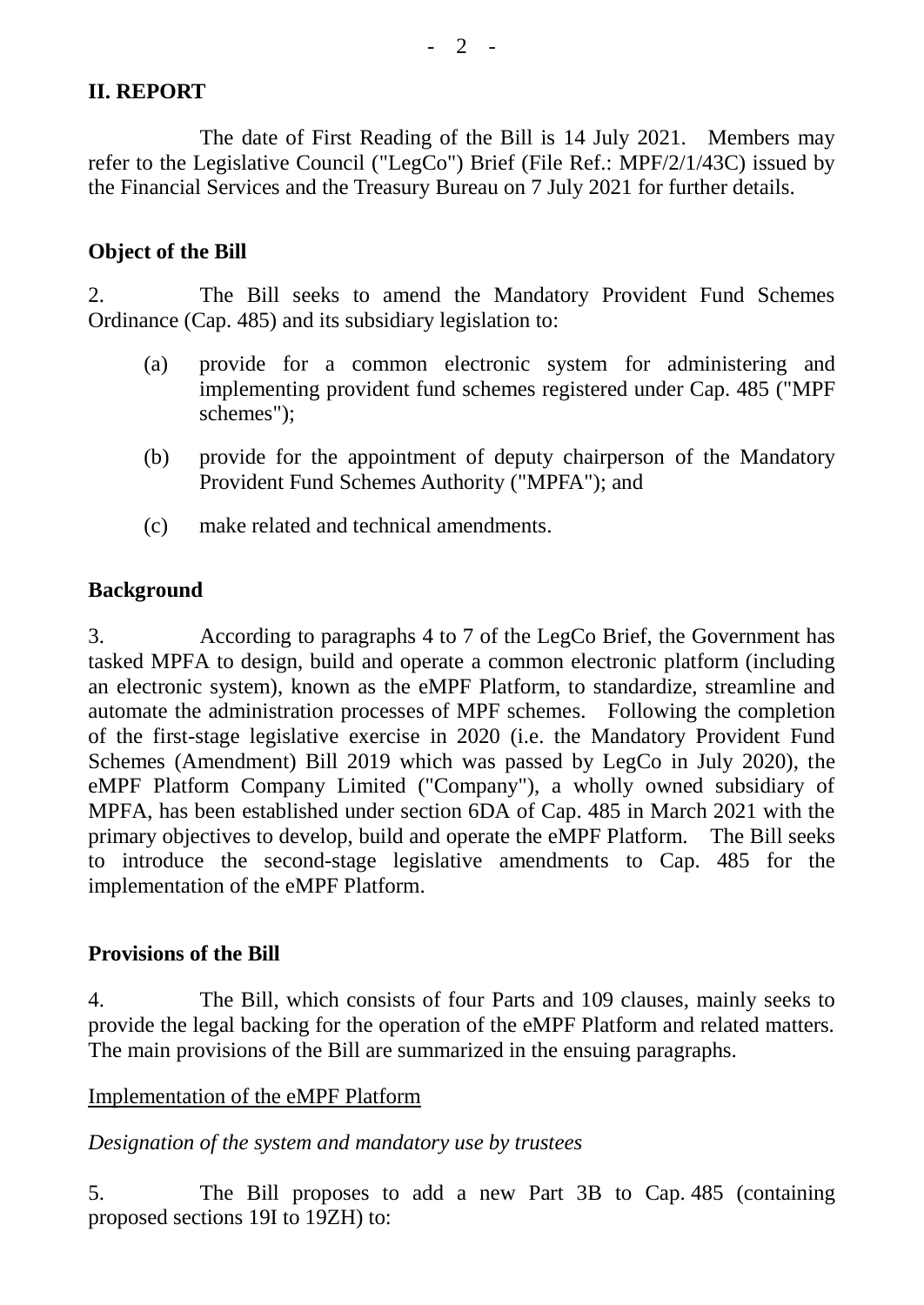# **II. REPORT**

The date of First Reading of the Bill is 14 July 2021. Members may refer to the Legislative Council ("LegCo") Brief (File Ref.: MPF/2/1/43C) issued by the Financial Services and the Treasury Bureau on 7 July 2021 for further details.

## **Object of the Bill**

2. The Bill seeks to amend the Mandatory Provident Fund Schemes Ordinance (Cap. 485) and its subsidiary legislation to:

- (a) provide for a common electronic system for administering and implementing provident fund schemes registered under Cap. 485 ("MPF schemes");
- (b) provide for the appointment of deputy chairperson of the Mandatory Provident Fund Schemes Authority ("MPFA"); and
- (c) make related and technical amendments.

# **Background**

3. According to paragraphs 4 to 7 of the LegCo Brief, the Government has tasked MPFA to design, build and operate a common electronic platform (including an electronic system), known as the eMPF Platform, to standardize, streamline and automate the administration processes of MPF schemes. Following the completion of the first-stage legislative exercise in 2020 (i.e. the Mandatory Provident Fund Schemes (Amendment) Bill 2019 which was passed by LegCo in July 2020), the eMPF Platform Company Limited ("Company"), a wholly owned subsidiary of MPFA, has been established under section 6DA of Cap. 485 in March 2021 with the primary objectives to develop, build and operate the eMPF Platform. The Bill seeks to introduce the second-stage legislative amendments to Cap. 485 for the implementation of the eMPF Platform.

### **Provisions of the Bill**

4. The Bill, which consists of four Parts and 109 clauses, mainly seeks to provide the legal backing for the operation of the eMPF Platform and related matters. The main provisions of the Bill are summarized in the ensuing paragraphs.

### Implementation of the eMPF Platform

*Designation of the system and mandatory use by trustees*

5. The Bill proposes to add a new Part 3B to Cap. 485 (containing proposed sections 19I to 19ZH) to: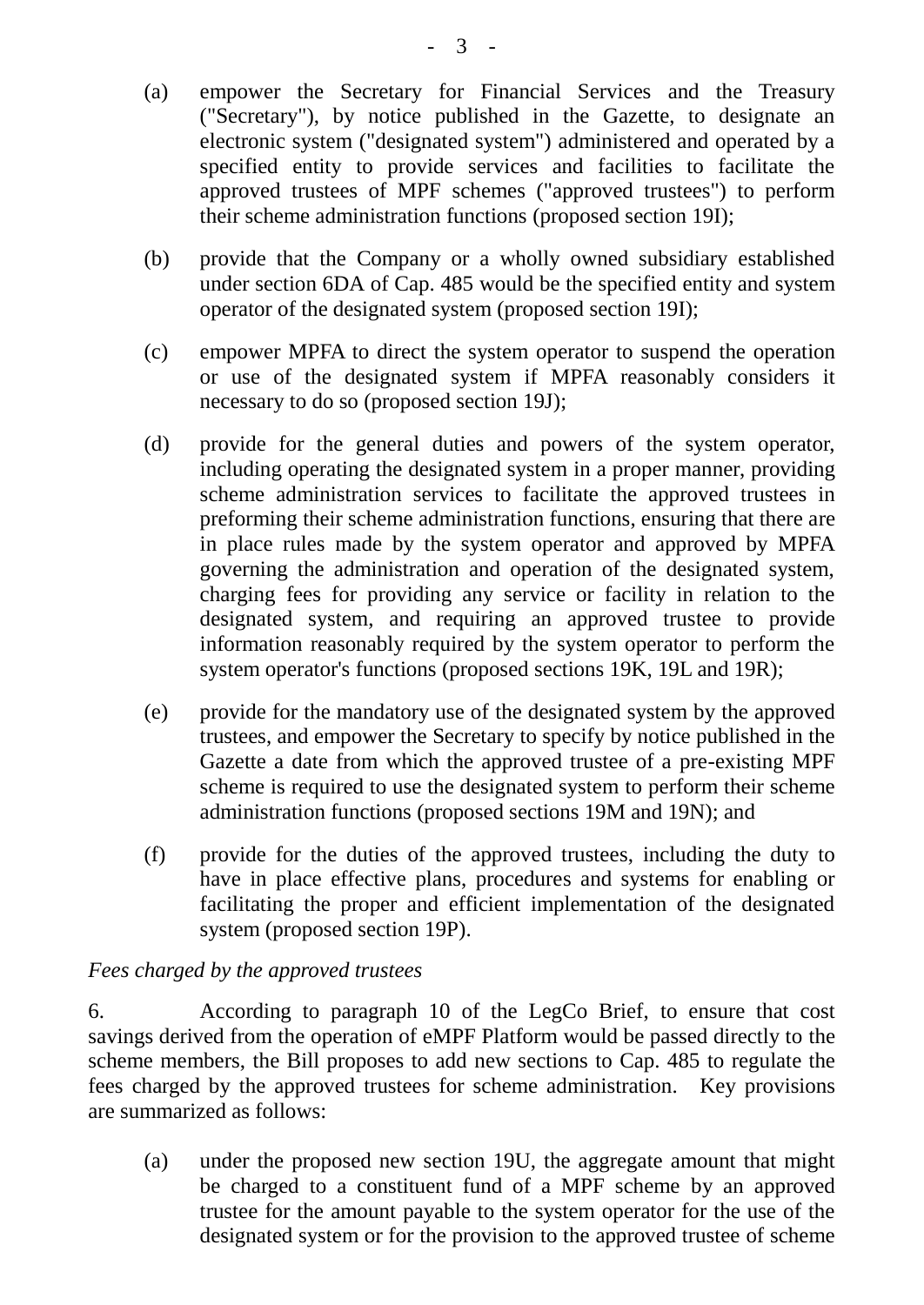- (a) empower the Secretary for Financial Services and the Treasury ("Secretary"), by notice published in the Gazette, to designate an electronic system ("designated system") administered and operated by a specified entity to provide services and facilities to facilitate the approved trustees of MPF schemes ("approved trustees") to perform their scheme administration functions (proposed section 19I);
- (b) provide that the Company or a wholly owned subsidiary established under section 6DA of Cap. 485 would be the specified entity and system operator of the designated system (proposed section 19I);
- (c) empower MPFA to direct the system operator to suspend the operation or use of the designated system if MPFA reasonably considers it necessary to do so (proposed section 19J);
- (d) provide for the general duties and powers of the system operator, including operating the designated system in a proper manner, providing scheme administration services to facilitate the approved trustees in preforming their scheme administration functions, ensuring that there are in place rules made by the system operator and approved by MPFA governing the administration and operation of the designated system, charging fees for providing any service or facility in relation to the designated system, and requiring an approved trustee to provide information reasonably required by the system operator to perform the system operator's functions (proposed sections 19K, 19L and 19R);
- (e) provide for the mandatory use of the designated system by the approved trustees, and empower the Secretary to specify by notice published in the Gazette a date from which the approved trustee of a pre-existing MPF scheme is required to use the designated system to perform their scheme administration functions (proposed sections 19M and 19N); and
- (f) provide for the duties of the approved trustees, including the duty to have in place effective plans, procedures and systems for enabling or facilitating the proper and efficient implementation of the designated system (proposed section 19P).

# *Fees charged by the approved trustees*

6. According to paragraph 10 of the LegCo Brief, to ensure that cost savings derived from the operation of eMPF Platform would be passed directly to the scheme members, the Bill proposes to add new sections to Cap. 485 to regulate the fees charged by the approved trustees for scheme administration. Key provisions are summarized as follows:

(a) under the proposed new section 19U, the aggregate amount that might be charged to a constituent fund of a MPF scheme by an approved trustee for the amount payable to the system operator for the use of the designated system or for the provision to the approved trustee of scheme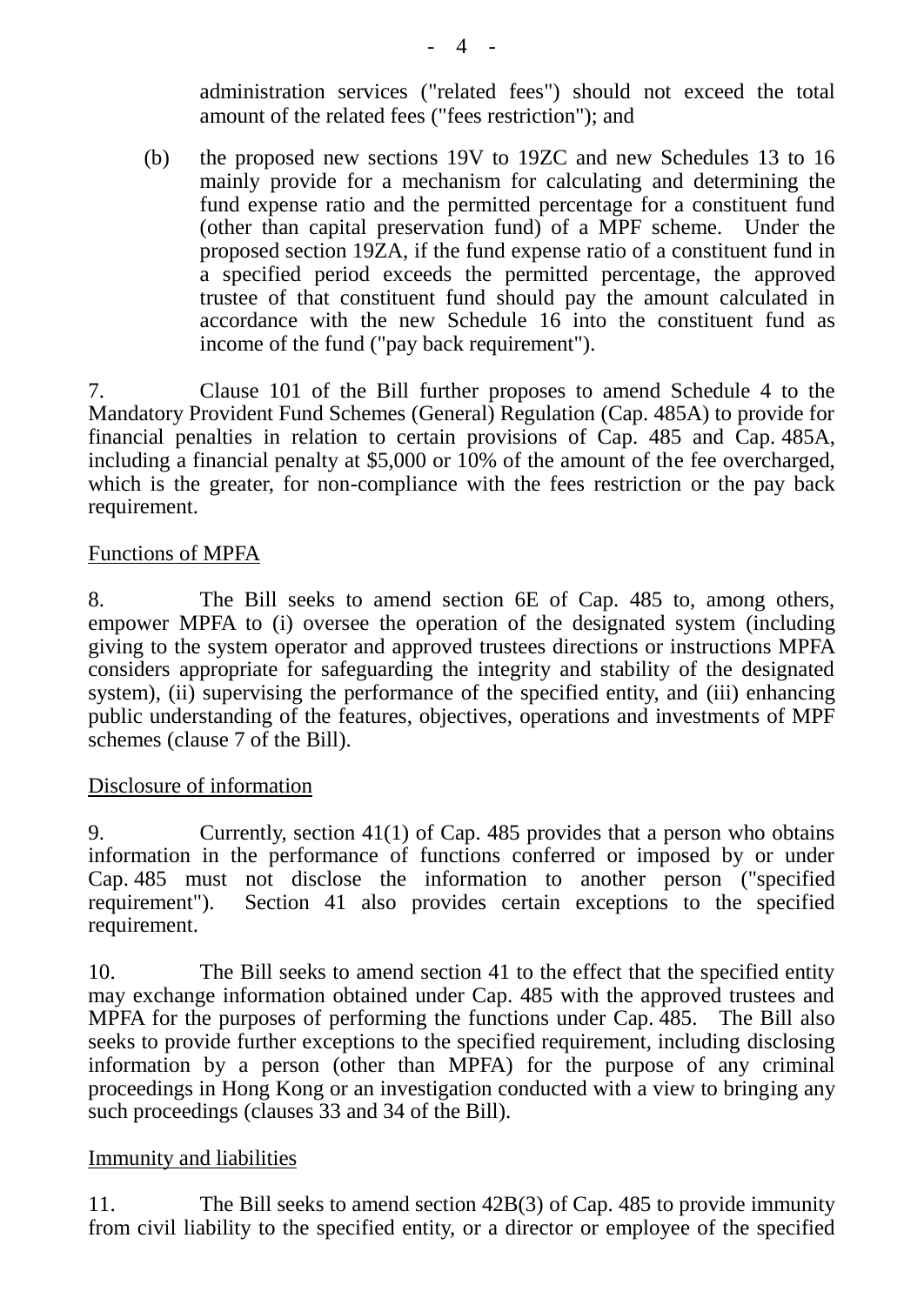administration services ("related fees") should not exceed the total amount of the related fees ("fees restriction"); and

(b) the proposed new sections 19V to 19ZC and new Schedules 13 to 16 mainly provide for a mechanism for calculating and determining the fund expense ratio and the permitted percentage for a constituent fund (other than capital preservation fund) of a MPF scheme. Under the proposed section 19ZA, if the fund expense ratio of a constituent fund in a specified period exceeds the permitted percentage, the approved trustee of that constituent fund should pay the amount calculated in accordance with the new Schedule 16 into the constituent fund as income of the fund ("pay back requirement").

7. Clause 101 of the Bill further proposes to amend Schedule 4 to the Mandatory Provident Fund Schemes (General) Regulation (Cap. 485A) to provide for financial penalties in relation to certain provisions of Cap. 485 and Cap. 485A, including a financial penalty at \$5,000 or 10% of the amount of the fee overcharged, which is the greater, for non-compliance with the fees restriction or the pay back requirement.

### Functions of MPFA

8. The Bill seeks to amend section 6E of Cap. 485 to, among others, empower MPFA to (i) oversee the operation of the designated system (including giving to the system operator and approved trustees directions or instructions MPFA considers appropriate for safeguarding the integrity and stability of the designated system), (ii) supervising the performance of the specified entity, and (iii) enhancing public understanding of the features, objectives, operations and investments of MPF schemes (clause 7 of the Bill).

#### Disclosure of information

9. Currently, section 41(1) of Cap. 485 provides that a person who obtains information in the performance of functions conferred or imposed by or under Cap. 485 must not disclose the information to another person ("specified requirement"). Section 41 also provides certain exceptions to the specified requirement.

10. The Bill seeks to amend section 41 to the effect that the specified entity may exchange information obtained under Cap. 485 with the approved trustees and MPFA for the purposes of performing the functions under Cap. 485. The Bill also seeks to provide further exceptions to the specified requirement, including disclosing information by a person (other than MPFA) for the purpose of any criminal proceedings in Hong Kong or an investigation conducted with a view to bringing any such proceedings (clauses 33 and 34 of the Bill).

#### Immunity and liabilities

11. The Bill seeks to amend section 42B(3) of Cap. 485 to provide immunity from civil liability to the specified entity, or a director or employee of the specified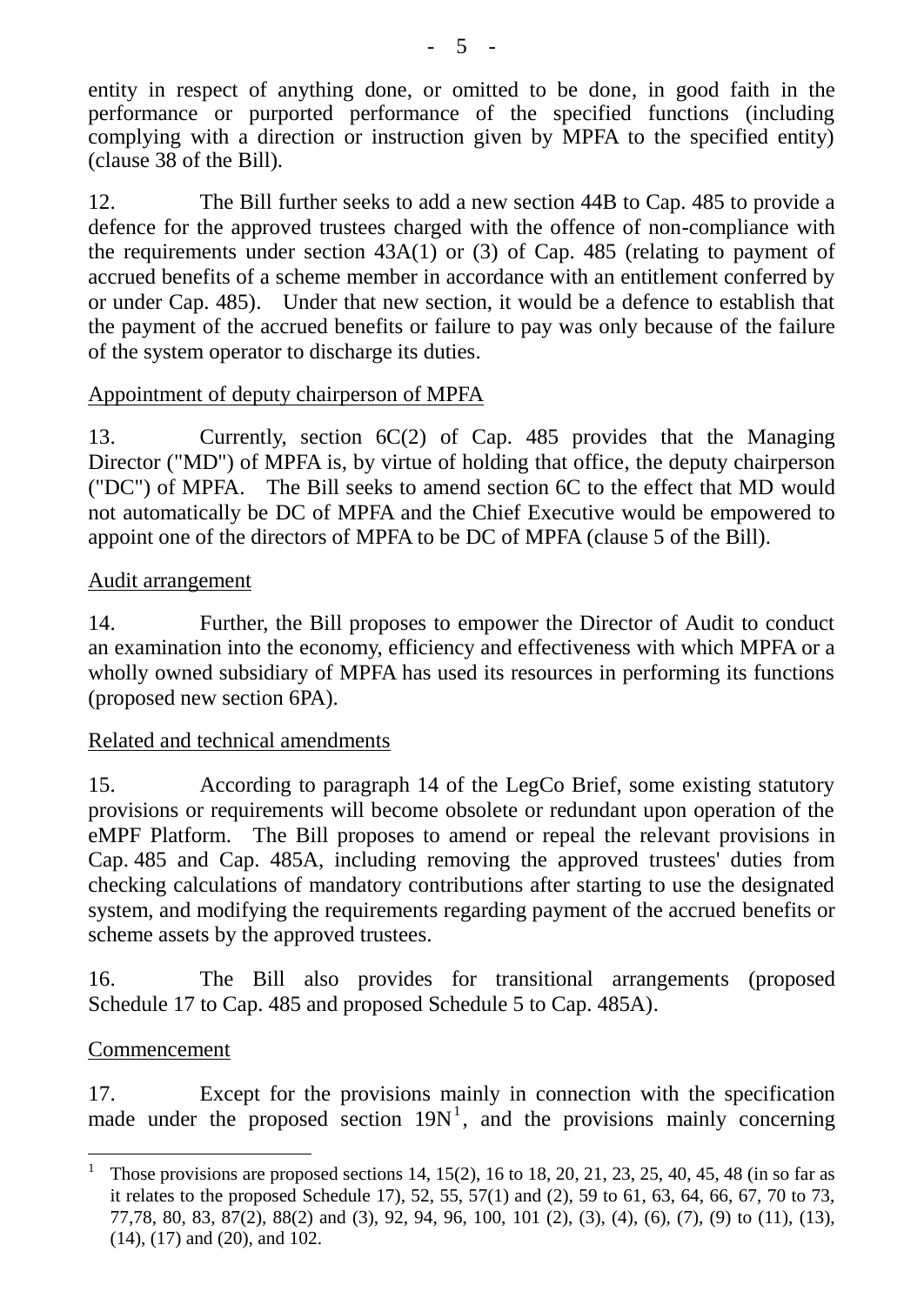entity in respect of anything done, or omitted to be done, in good faith in the performance or purported performance of the specified functions (including complying with a direction or instruction given by MPFA to the specified entity) (clause 38 of the Bill).

12. The Bill further seeks to add a new section 44B to Cap. 485 to provide a defence for the approved trustees charged with the offence of non-compliance with the requirements under section 43A(1) or (3) of Cap. 485 (relating to payment of accrued benefits of a scheme member in accordance with an entitlement conferred by or under Cap. 485). Under that new section, it would be a defence to establish that the payment of the accrued benefits or failure to pay was only because of the failure of the system operator to discharge its duties.

# Appointment of deputy chairperson of MPFA

13. Currently, section 6C(2) of Cap. 485 provides that the Managing Director ("MD") of MPFA is, by virtue of holding that office, the deputy chairperson ("DC") of MPFA. The Bill seeks to amend section 6C to the effect that MD would not automatically be DC of MPFA and the Chief Executive would be empowered to appoint one of the directors of MPFA to be DC of MPFA (clause 5 of the Bill).

# Audit arrangement

14. Further, the Bill proposes to empower the Director of Audit to conduct an examination into the economy, efficiency and effectiveness with which MPFA or a wholly owned subsidiary of MPFA has used its resources in performing its functions (proposed new section 6PA).

# Related and technical amendments

15. According to paragraph 14 of the LegCo Brief, some existing statutory provisions or requirements will become obsolete or redundant upon operation of the eMPF Platform. The Bill proposes to amend or repeal the relevant provisions in Cap. 485 and Cap. 485A, including removing the approved trustees' duties from checking calculations of mandatory contributions after starting to use the designated system, and modifying the requirements regarding payment of the accrued benefits or scheme assets by the approved trustees.

16. The Bill also provides for transitional arrangements (proposed Schedule 17 to Cap. 485 and proposed Schedule 5 to Cap. 485A).

# Commencement

17. Except for the provisions mainly in connection with the specification made under the proposed section  $19N<sup>1</sup>$ , and the provisions mainly concerning

 1 Those provisions are proposed sections 14, 15(2), 16 to 18, 20, 21, 23, 25, 40, 45, 48 (in so far as it relates to the proposed Schedule 17), 52, 55, 57(1) and (2), 59 to 61, 63, 64, 66, 67, 70 to 73, 77,78, 80, 83, 87(2), 88(2) and (3), 92, 94, 96, 100, 101 (2), (3), (4), (6), (7), (9) to (11), (13), (14), (17) and (20), and 102.